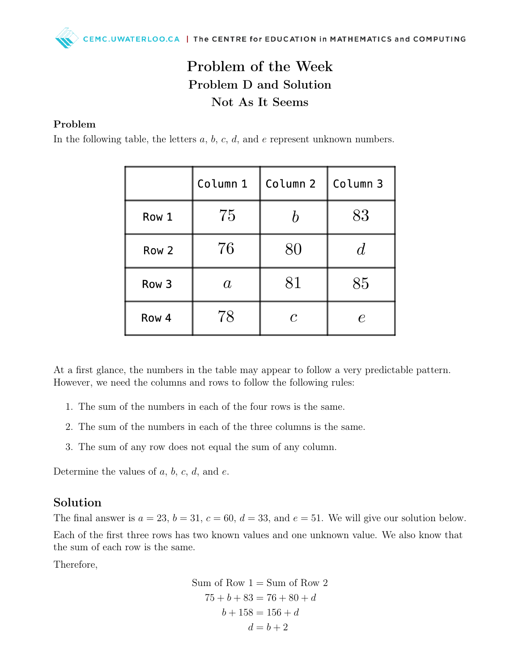## Problem of the Week Problem D and Solution Not As It Seems

## Problem

In the following table, the letters  $a, b, c, d$ , and  $e$  represent unknown numbers.

|       | Column 1       | Column 2     | Column 3 |
|-------|----------------|--------------|----------|
| Row 1 | 75             |              | 83       |
| Row 2 | 76             | 80           |          |
| Row 3 | $\mathfrak{a}$ | 81           | 85       |
| Row 4 | 78             | $\mathcal C$ |          |

At a first glance, the numbers in the table may appear to follow a very predictable pattern. However, we need the columns and rows to follow the following rules:

- 1. The sum of the numbers in each of the four rows is the same.
- 2. The sum of the numbers in each of the three columns is the same.
- 3. The sum of any row does not equal the sum of any column.

Determine the values of  $a, b, c, d$ , and  $e$ .

## Solution

The final answer is  $a = 23$ ,  $b = 31$ ,  $c = 60$ ,  $d = 33$ , and  $e = 51$ . We will give our solution below. Each of the first three rows has two known values and one unknown value. We also know that the sum of each row is the same.

Therefore,

Sum of Row 1 = Sum of Row 2 75 + b + 83 = 76 + 80 + d b + 158 = 156 + d d = b + 2